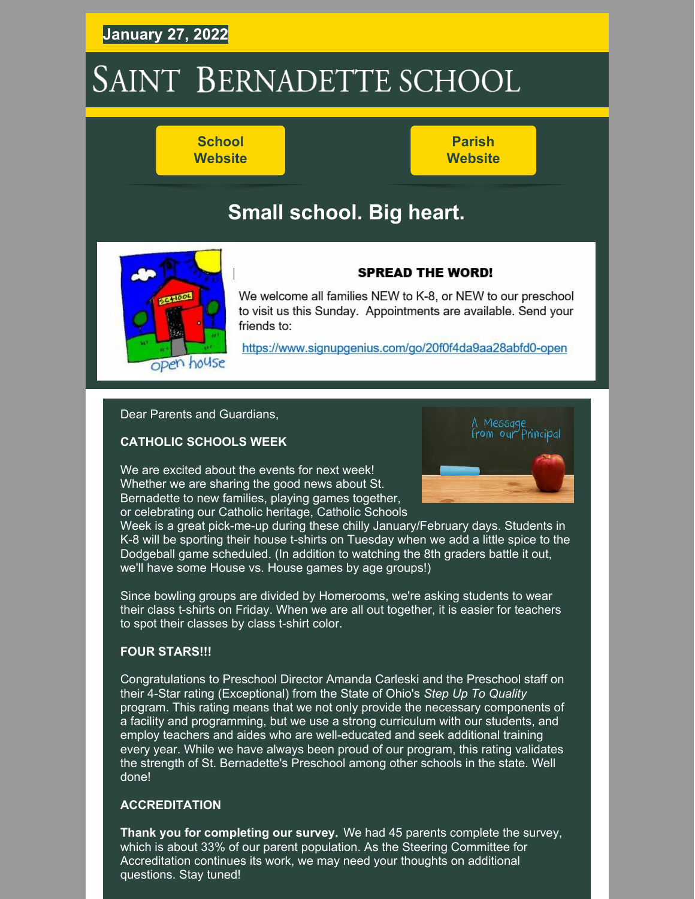## **January 27, 2022**

# SAINT BERNADETTE SCHOOL

**School [Website](https://stbameliaschool.org/)**

**Parish [Website](https://stbameliaparish.org/)**

## **Small school. Big heart.**



### **SPREAD THE WORD!**

We welcome all families NEW to K-8, or NEW to our preschool to visit us this Sunday. Appointments are available. Send your friends to:

https://www.signupgenius.com/go/20f0f4da9aa28abfd0-open

Dear Parents and Guardians,

### **CATHOLIC SCHOOLS WEEK**

We are excited about the events for next week! Whether we are sharing the good news about St. Bernadette to new families, playing games together, or celebrating our Catholic heritage, Catholic Schools



Week is a great pick-me-up during these chilly January/February days. Students in K-8 will be sporting their house t-shirts on Tuesday when we add a little spice to the Dodgeball game scheduled. (In addition to watching the 8th graders battle it out, we'll have some House vs. House games by age groups!)

Since bowling groups are divided by Homerooms, we're asking students to wear their class t-shirts on Friday. When we are all out together, it is easier for teachers to spot their classes by class t-shirt color.

### **FOUR STARS!!!**

Congratulations to Preschool Director Amanda Carleski and the Preschool staff on their 4-Star rating (Exceptional) from the State of Ohio's *Step Up To Quality* program. This rating means that we not only provide the necessary components of a facility and programming, but we use a strong curriculum with our students, and employ teachers and aides who are well-educated and seek additional training every year. While we have always been proud of our program, this rating validates the strength of St. Bernadette's Preschool among other schools in the state. Well done!

### **ACCREDITATION**

**Thank you for completing our survey.** We had 45 parents complete the survey, which is about 33% of our parent population. As the Steering Committee for Accreditation continues its work, we may need your thoughts on additional questions. Stay tuned!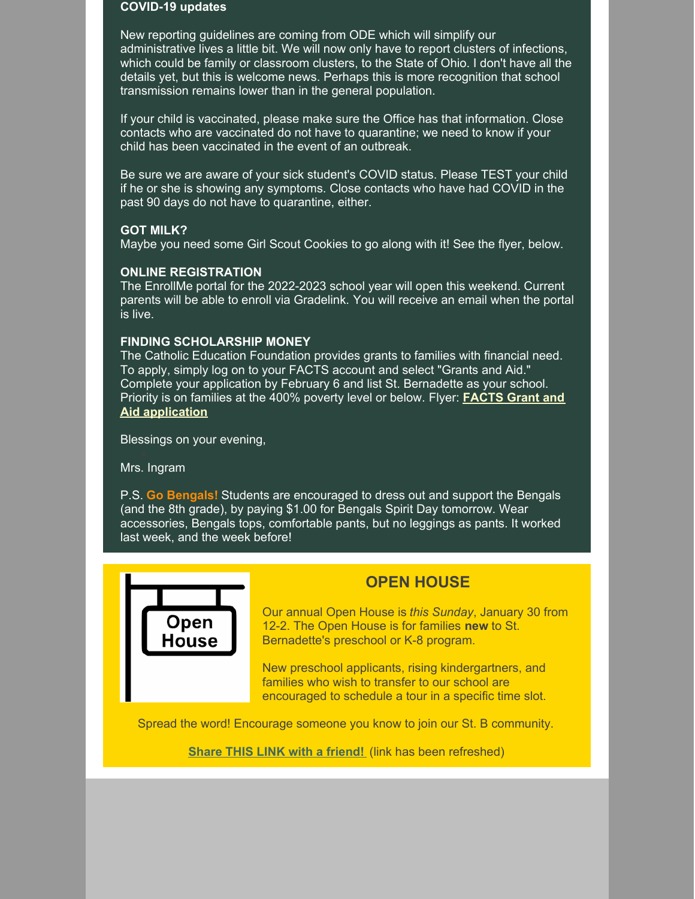### **COVID-19 updates**

New reporting guidelines are coming from ODE which will simplify our administrative lives a little bit. We will now only have to report clusters of infections, which could be family or classroom clusters, to the State of Ohio. I don't have all the details yet, but this is welcome news. Perhaps this is more recognition that school transmission remains lower than in the general population.

If your child is vaccinated, please make sure the Office has that information. Close contacts who are vaccinated do not have to quarantine; we need to know if your child has been vaccinated in the event of an outbreak.

Be sure we are aware of your sick student's COVID status. Please TEST your child if he or she is showing any symptoms. Close contacts who have had COVID in the past 90 days do not have to quarantine, either.

### **GOT MILK?**

Maybe you need some Girl Scout Cookies to go along with it! See the flyer, below.

### **ONLINE REGISTRATION**

The EnrollMe portal for the 2022-2023 school year will open this weekend. Current parents will be able to enroll via Gradelink. You will receive an email when the portal is live.

### **FINDING SCHOLARSHIP MONEY**

The Catholic Education Foundation provides grants to families with financial need. To apply, simply log on to your FACTS account and select "Grants and Aid." Complete your application by February 6 and list St. Bernadette as your school. Priority is on families at the 400% poverty level or below. Flyer: **FACTS Grant and Aid [application](https://stbameliaschool.org/Portals/3/Files/Admissions/Registration/Grant and Aid Assessment.pdf)**

Blessings on your evening,

Mrs. Ingram

P.S. **Go Bengals!** Students are encouraged to dress out and support the Bengals (and the 8th grade), by paying \$1.00 for Bengals Spirit Day tomorrow. Wear accessories, Bengals tops, comfortable pants, but no leggings as pants. It worked last week, and the week before!



### **OPEN HOUSE**

Our annual Open House is *this Sunday*, January 30 from 12-2. The Open House is for families **new** to St. Bernadette's preschool or K-8 program.

New preschool applicants, rising kindergartners, and families who wish to transfer to our school are encouraged to schedule a tour in a specific time slot.

Spread the word! Encourage someone you know to join our St. B community.

**Share THIS LINK with a [friend!](https://www.signupgenius.com/go/20f0f4da9aa28abfd0-open)** (link has been refreshed)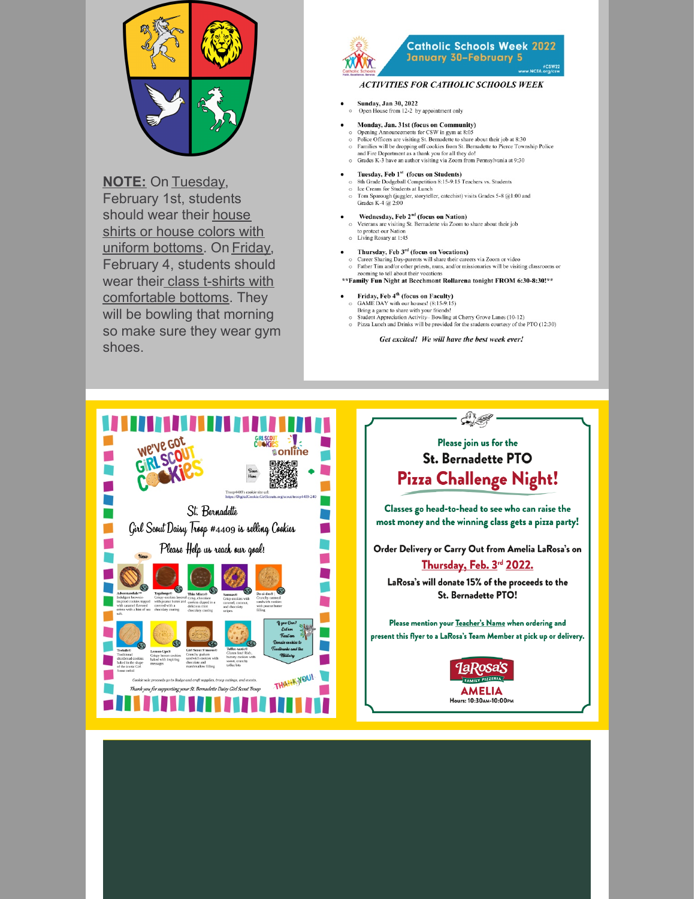

**NOTE: On Tuesday,** February 1st, students should wear their house shirts or house colors with uniform bottoms. On Friday, February 4, students should wear their class t-shirts with comfortable bottoms. They will be bowling that morning so make sure they wear gym shoes.



### **Catholic Schools Week 2022** January 30-February 5

#### **ACTIVITIES FOR CATHOLIC SCHOOLS WEEK**

- Sunday, Jan 30, 2022 Open House from 12-2 by appointment only
- Monday, Jan. 31st (focus on Community)
	- Strong Announcements for CSW in gym at 8:05<br>Police Officers are visiting St. Bernadette to share about their job at 8:30 Families will be dropping off cookies from St. Bernadette to Pierce Township Police and Fire Department as a thank you for all they do!
	- $\circ$ Grades K-3 have an author visiting via Zoom from Pennsylvania at 9:30
- Tuesday, Feb 1<sup>st</sup> (focus on Students)<br>8th Grade Dodgeball Competition 8:15-9:15 Teachers vs. Students
- Fig. Cream for Students at Lunch<br>Tom Sparough (juggler, storyteller, catechist) visits Grades 5-8 @1:00 and<br>Tom Sparough (juggler, storyteller, catechist) visits Grades 5-8 @1:00 and Grades K-4 @ 2:00
- Wednesday, Feb 2<sup>nd</sup> (focus on Nation) Veterans are visiting St. Bernadette via Zoom to share about their job<br>to protect our Nation<br>Living Rosary at 1:45  $\sim$  $\circ$ 
	- Thursday, Feb 3rd (focus on Vocations)
- Career Sharing Day-parents will share their careers via Zoom or video<br>Father Tim and/or other priests, nuns, and/or missionaries will be visiting classrooms or<br>zooming to tell about their vocations  $\circ$
- \*\* Family Fun Night at Beechmont Rollarena tonight FROM 6:30-8:30!\*\*
- Friday, Feb 4<sup>th</sup> (focus on Faculty)<br>GAME DAY with our houses! (8:15-9:15)
- Bring a game to share with your friends!
- 
- Student Appreciation Activity–Bowling at Cherry Grove Lanes (10-12)<br>
> Pizza Lunch and Drinks will be provided for the students courtesy of the PTO (12:30)

Get excited! We will have the best week ever!





١

Please mention your Teacher's Name when ordering and present this flyer to a LaRosa's Team Member at pick up or delivery.

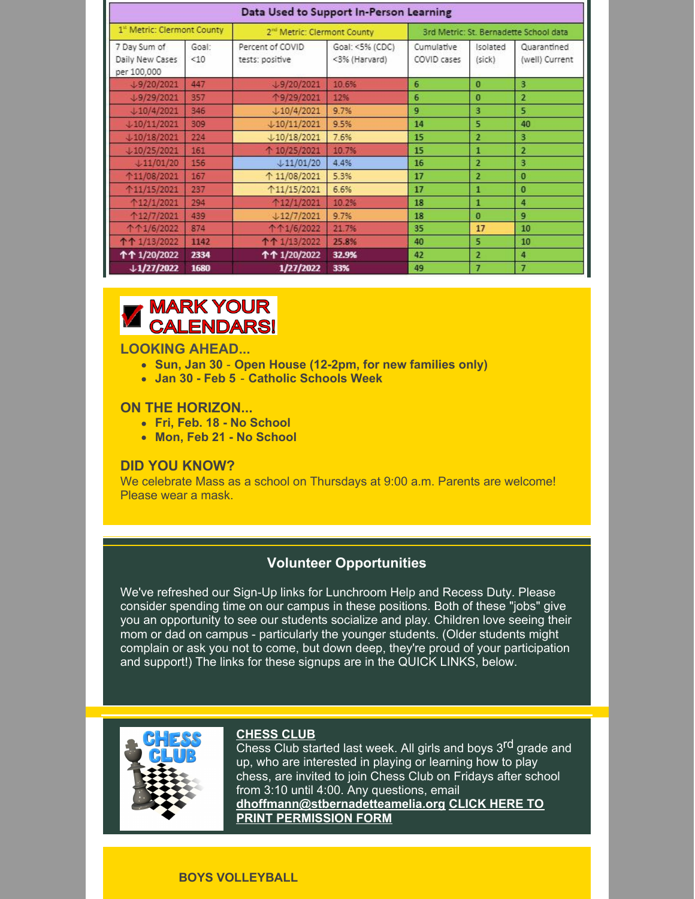| Data Used to Support In-Person Learning        |              |                                         |                                  |                                        |                    |                               |
|------------------------------------------------|--------------|-----------------------------------------|----------------------------------|----------------------------------------|--------------------|-------------------------------|
| 1st Metric: Clermont County                    |              | 2 <sup>nd</sup> Metric: Clermont County |                                  | 3rd Metric: St. Bernadette School data |                    |                               |
| 7 Day Sum of<br>Daily New Cases<br>per 100,000 | Goal:<br><10 | Percent of COVID<br>tests: positive     | Goal: <5% (CDC)<br><3% (Harvard) | Cumulative<br>COVID cases              | Isolated<br>(sick) | Quarantined<br>(well) Current |
| $\downarrow$ 9/20/2021                         | 447          | $\downarrow$ 9/20/2021                  | 10.6%                            | 6                                      | $\Omega$           | $\mathbf{3}$                  |
| $\downarrow$ 9/29/2021                         | 357          | ↑9/29/2021                              | 12%                              | 6                                      | $\bf{0}$           | $\overline{2}$                |
|                                                | 346          | $\downarrow$ 10/4/2021                  | 9.7%                             | 9                                      | $\overline{3}$     | 5                             |
| $+10/11/2021$                                  | 309          | $+10/11/2021$                           | 9.5%                             | 14                                     | 5                  | 40                            |
| $+10/18/2021$                                  | 224          | $+10/18/2021$                           | 7.6%                             | 15                                     | $\overline{2}$     | 3                             |
| $+10/25/2021$                                  | 161          | ↑ 10/25/2021                            | 10.7%                            | 15                                     | $\mathbf{I}$       | $\overline{2}$                |
| $+11/01/20$                                    | 156          | $+11/01/20$                             | 4.4%                             | 16                                     | $\overline{2}$     | 3                             |
| ↑11/08/2021                                    | 167          | ↑ 11/08/2021                            | 5.3%                             | 17                                     | $\overline{2}$     | $\bf{0}$                      |
| ↑11/15/2021                                    | 237          | ↑11/15/2021                             | 6.6%                             | 17                                     | $\mathbf{1}$       | $\bf{0}$                      |
| ↑12/1/2021                                     | 294          | 个12/1/2021                              | 10.2%                            | 18                                     | $\mathbf{1}$       | 4                             |
| ↑12/7/2021                                     | 439          | $+12/7/2021$                            | 9.7%                             | 18                                     | $\theta$           | 9                             |
| 个个1/6/2022                                     | 874          | 个个1/6/2022                              | 21.7%                            | 35                                     | 17                 | 10                            |
| 个个 1/13/2022                                   | 1142         | 个个 1/13/2022                            | 25.8%                            | 40                                     | 5                  | 10                            |
| 个个 1/20/2022                                   | 2334         | 个个 1/20/2022                            | 32.9%                            | 42                                     | $\overline{2}$     | 4                             |
| $+1/27/2022$                                   | 1680         | 1/27/2022                               | 33%                              | 49                                     | $\overline{7}$     | $\overline{1}$                |

## **MARK YOUR CALENDARS!**

### **LOOKING AHEAD...**

- **Sun, Jan 30 Open House (12-2pm, for new families only)**
- **Jan 30 - Feb 5 Catholic Schools Week**

### **ON THE HORIZON...**

- **Fri, Feb. 18 - No School**
- **Mon, Feb 21 - No School**

### **DID YOU KNOW?**

We celebrate Mass as a school on Thursdays at 9:00 a.m. Parents are welcome! Please wear a mask.

### **Volunteer Opportunities**

We've refreshed our Sign-Up links for Lunchroom Help and Recess Duty. Please consider spending time on our campus in these positions. Both of these "jobs" give you an opportunity to see our students socialize and play. Children love seeing their mom or dad on campus - particularly the younger students. (Older students might complain or ask you not to come, but down deep, they're proud of your participation and support!) The links for these signups are in the QUICK LINKS, below.



### **CHESS CLUB**

**Chess Club started last week. All girls and boys 3<sup>rd</sup> grade and** up, who are interested in playing or learning how to play chess, are invited to join Chess Club on Fridays after school from 3:10 until 4:00. Any questions, email **[dhoffmann@stbernadetteamelia.org](https://files.constantcontact.com/9ac56f1f601/afa45a39-8892-4706-8709-ca1701d96fea.pdf?rdr=true) CLICK HERE TO PRINT PERMISSION FORM**

### **BOYS VOLLEYBALL**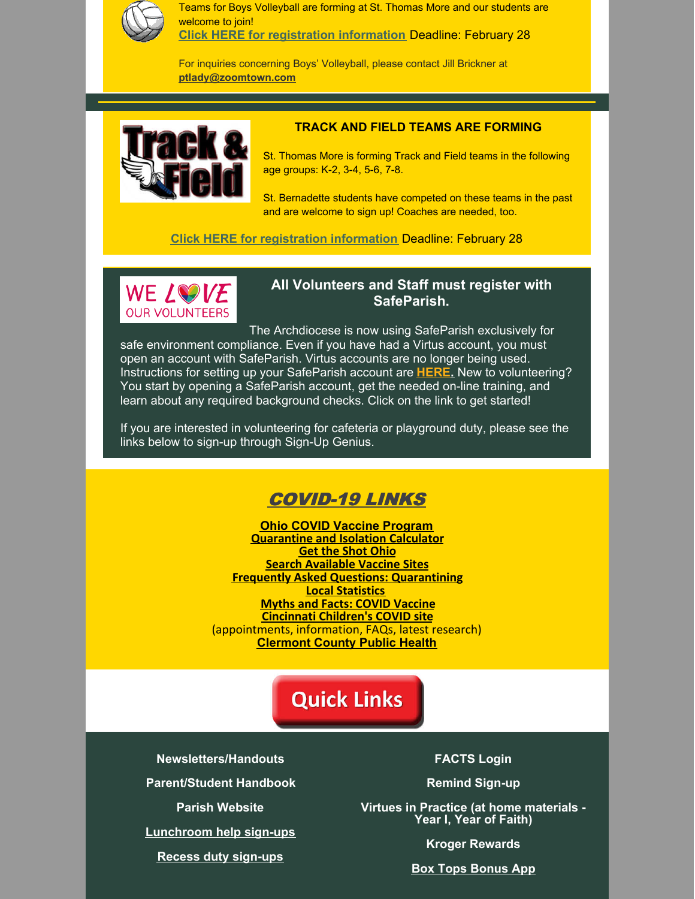

Teams for Boys Volleyball are forming at St. Thomas More and our students are welcome to join! **Click HERE for [registration](https://www.sttmschool.org/apps/news/article/1557007) information** Deadline: February 28

For inquiries concerning Boys' Volleyball, please contact Jill Brickner at **[ptlady@zoomtown.com](mailto:ptlady@zoomtown.com)**



### **TRACK AND FIELD TEAMS ARE FORMING**

St. Thomas More is forming Track and Field teams in the following age groups: K-2, 3-4, 5-6, 7-8.

St. Bernadette students have competed on these teams in the past and are welcome to sign up! Coaches are needed, too.

**Click HERE for [registration](https://www.sttmschool.org/apps/news/article/1557007) information** Deadline: February 28



### **All Volunteers and Staff must register with SafeParish.**

The Archdiocese is now using SafeParish exclusively for safe environment compliance. Even if you have had a Virtus account, you must open an account with SafeParish. Virtus accounts are no longer being used. Instructions for setting up your SafeParish account are **[HERE.](https://www.stbameliaparish.org/safeparish)** New to volunteering? You start by opening a SafeParish account, get the needed on-line training, and learn about any required background checks. Click on the link to get started!

If you are interested in volunteering for cafeteria or playground duty, please see the links below to sign-up through Sign-Up Genius.

### COVID-19 LINKS

**Ohio COVID Vaccine [Program](https://coronavirus.ohio.gov/wps/portal/gov/covid-19/covid-19-vaccination-program) [Quarantine](https://doh.sd.gov/COVID/Calculator/default.aspx) and Isolation Calculator Get the Shot [Ohio](https://gettheshot.coronavirus.ohio.gov/) Search [Available](https://www.solvhealth.com/oh/c/batavia-oh-srv-covid-testing) Vaccine Sites Frequently Asked Questions: [Quarantining](https://coronavirus.ohio.gov/static/docs/COVID-19-Quarantine-FAQs.pdf) Local [Statistics](https://www.nytimes.com/interactive/2021/us/clermont-ohio-covid-cases.html) Myths and Facts: COVID [Vaccine](https://www.cdc.gov/coronavirus/2019-ncov/vaccines/facts.html) [Cincinnati](https://www.cincinnatichildrens.org/patients/coronavirus-information/vaccines/schedule) Children's COVID site** (appointments, information, FAQs, latest research) **[Clermont](https://ccphohio.org/covid-19-vaccine-info/) County Public Health**

## **Quick Links**

**[Newsletters/Handouts](http://stbameliaschool.org/About-Us/Principals-Notes-and-Handouts)**

**[Parent/Student](https://files.constantcontact.com/9ac56f1f601/8d5a24ef-5bbd-42e5-ac9c-565402d649a0.pdf?rdr=true) Handbook**

**Parish [Website](http://stbameliaparish.org/)**

**[Lunchroom](https://www.signupgenius.com/go/20F0F4DA9AA28ABFD0-lunchroom1) help sign-ups**

**Recess duty [sign-ups](https://www.signupgenius.com/go/20f0f4da9aa28abfd0-recess)**

**[FACTS](https://online.factsmgt.com/signin/3XC6B) Login**

**Remind [Sign-up](https://www.remind.com/join/stbsabers)**

**Virtues in Practice (at home [materials](https://www.nashvilledominican.org/wp-content/uploads/PARENT-Guide-VIP-1.pdf) - Year I, Year of Faith)**

**Kroger [Rewards](https://files.constantcontact.com/9ac56f1f601/fbac224c-c902-48f8-93e9-043c6214ce43.pdf?rdr=true)**

**Box Tops [Bonus](https://www.boxtops4education.com/) App**